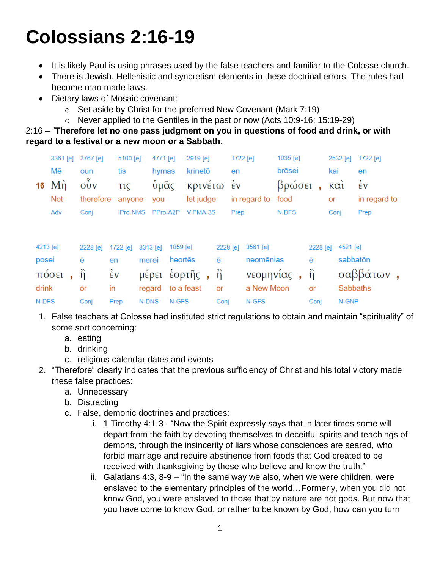## **Colossians 2:16-19**

- It is likely Paul is using phrases used by the false teachers and familiar to the Colosse church.
- There is Jewish, Hellenistic and syncretism elements in these doctrinal errors. The rules had become man made laws.
- Dietary laws of Mosaic covenant:
	- $\circ$  Set aside by Christ for the preferred New Covenant (Mark 7:19)
	- o Never applied to the Gentiles in the past or now (Acts 10:9-16; 15:19-29)

2:16 – "**Therefore let no one pass judgment on you in questions of food and drink, or with regard to a festival or a new moon or a Sabbath**.

|          | 3361 [e]              | 3767 [e]         | 5100 [e]        | 4771 [e] |          | 2919 [e]   |               | 1722 [e] |            | 1035 [e] |          | 2532 [e]          | 1722 [e]        |
|----------|-----------------------|------------------|-----------------|----------|----------|------------|---------------|----------|------------|----------|----------|-------------------|-----------------|
|          | Mē                    | oun              | tis             | hymas    |          | krinetō    |               | en       |            | brōsei   |          | kai               | en              |
| 16       | Mή                    | $\vec{\delta v}$ | τις             | ὑμᾶς     |          | κρινέτω έν |               |          |            | βρώσει   | ä,       | $\kappa \alpha i$ | έv              |
|          | <b>Not</b>            | therefore        | anyone          | you      |          | let judge  | in regard to  |          |            | food     |          | or                | in regard to    |
|          | Adv                   | Conj             | <b>IPro-NMS</b> |          | PPro-A2P | V-PMA-3S   |               | Prep     |            | N-DFS    |          | Conj              | Prep            |
|          |                       |                  |                 |          |          |            |               |          |            |          |          |                   |                 |
| 4213 [e] |                       | 2228 [e]         | 1722 [e]        | 3313 [e] | 1859 [e] |            | 2228 [e]      |          | $3561$ [e] |          | 2228 [e] | 4521 [e]          |                 |
| posei    |                       | ē                | en              | merei    | heortes  |            | ē             |          | neomēnias  |          | ē        |                   | sabbatōn        |
|          | $\pi$ 00 $\epsilon$ 1 | ñ                | έv              | μέρει    |          | έορτῆς,    | $\ddot{\eta}$ |          | νεομηνίας, |          | ñ        |                   | σαββάτων,       |
| drink    |                       | or               | in              | regard   |          | to a feast | or            |          | a New Moon |          | or       |                   | <b>Sabbaths</b> |
| N-DFS    |                       | Conj             | Prep            | N-DNS    | N-GFS    |            | Conj          |          | N-GFS      |          | Conj     | N-GNP             |                 |

- 1. False teachers at Colosse had instituted strict regulations to obtain and maintain "spirituality" of some sort concerning:
	- a. eating
	- b. drinking
	- c. religious calendar dates and events
- 2. "Therefore" clearly indicates that the previous sufficiency of Christ and his total victory made these false practices:
	- a. Unnecessary
	- b. Distracting
	- c. False, demonic doctrines and practices:
		- i. 1 Timothy 4:1-3 –"Now the Spirit expressly says that in later times some will depart from the faith by devoting themselves to deceitful spirits and teachings of demons, through the insincerity of liars whose consciences are seared, who forbid marriage and require abstinence from foods that God created to be received with thanksgiving by those who believe and know the truth."
		- ii. Galatians 4:3, 8-9 "In the same way we also, when we were children, were enslaved to the elementary principles of the world…Formerly, when you did not know God, you were enslaved to those that by nature are not gods. But now that you have come to know God, or rather to be known by God, how can you turn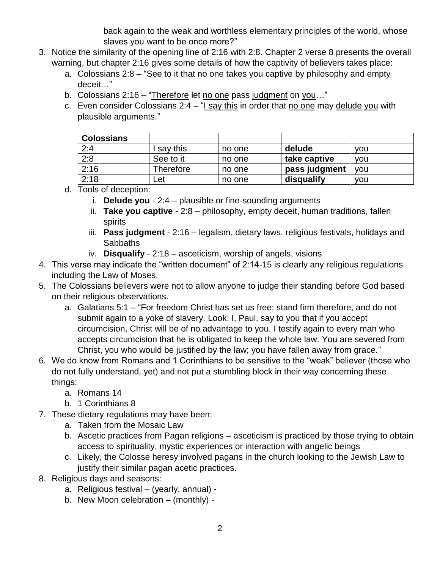back again to the weak and worthless elementary principles of the world, whose slaves you want to be once more?"

- 3. Notice the similarity of the opening line of 2:16 with 2:8. Chapter 2 verse 8 presents the overall warning, but chapter 2:16 gives some details of how the captivity of believers takes place:
	- a. Colossians 2:8 "See to it that no one takes you captive by philosophy and empty deceit…"
	- b. Colossians 2:16 "Therefore let no one pass judgment on you…"
	- c. Even consider Colossians  $2:4 1$  say this in order that no one may delude you with plausible arguments."

| <b>Colossians</b> |           |        |               |            |
|-------------------|-----------|--------|---------------|------------|
| 2:4               | say this  | no one | delude        | <b>VOU</b> |
| 2:8               | See to it | no one | take captive  | <b>VOU</b> |
| 2:16              | Therefore | no one | pass judgment | <b>VOU</b> |
| 2:18              | _et       | no one | disqualify    | <b>VOU</b> |

- d. Tools of deception:
	- i. **Delude you** 2:4 plausible or fine-sounding arguments
	- ii. **Take you captive** 2:8 philosophy, empty deceit, human traditions, fallen spirits
	- iii. **Pass judgment** 2:16 legalism, dietary laws, religious festivals, holidays and **Sabbaths**
	- iv. **Disqualify** 2:18 asceticism, worship of angels, visions
- 4. This verse may indicate the "written document" of 2:14-15 is clearly any religious regulations including the Law of Moses.
- 5. The Colossians believers were not to allow anyone to judge their standing before God based on their religious observations.
	- a. Galatians 5:1 "For freedom Christ has set us free; stand firm therefore, and do not submit again to a yoke of slavery. Look: I, Paul, say to you that if you accept circumcision, Christ will be of no advantage to you. I testify again to every man who accepts circumcision that he is obligated to keep the whole law. You are severed from Christ, you who would be justified by the law; you have fallen away from grace."
- 6. We do know from Romans and 1 Corinthians to be sensitive to the "weak" believer (those who do not fully understand, yet) and not put a stumbling block in their way concerning these things:
	- a. Romans 14
	- b. 1 Corinthians 8
- 7. These dietary regulations may have been:
	- a. Taken from the Mosaic Law
	- b. Ascetic practices from Pagan religions asceticism is practiced by those trying to obtain access to spirituality, mystic experiences or interaction with angelic beings
	- c. Likely, the Colosse heresy involved pagans in the church looking to the Jewish Law to justify their similar pagan acetic practices.
- 8. Religious days and seasons:
	- a. Religious festival (yearly, annual) -
	- b. New Moon celebration (monthly) -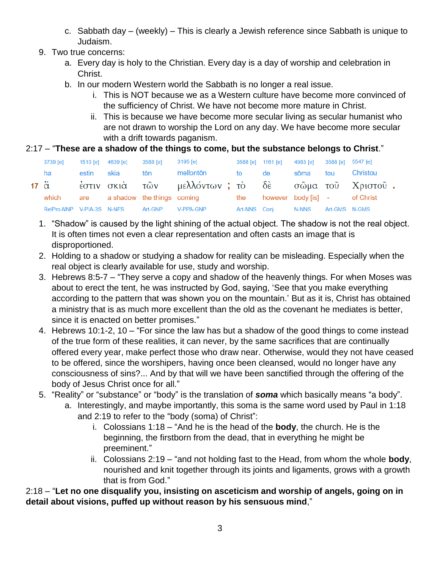- c. Sabbath day (weekly) This is clearly a Jewish reference since Sabbath is unique to Judaism.
- 9. Two true concerns:
	- a. Every day is holy to the Christian. Every day is a day of worship and celebration in Christ.
	- b. In our modern Western world the Sabbath is no longer a real issue.
		- i. This is NOT because we as a Western culture have become more convinced of the sufficiency of Christ. We have not become more mature in Christ.
		- ii. This is because we have become more secular living as secular humanist who are not drawn to worship the Lord on any day. We have become more secular with a drift towards paganism.

## 2:17 – "**These are a shadow of the things to come, but the substance belongs to Christ**."

| 3739 [e] |            | 1510 [e] 4639 [e] 3588 [e]        |     | 3195 [e]                                                               |           | 3588 [e] 1161 [e] 4983 [e] 3588 [e] 5547 [e] |               |                   |
|----------|------------|-----------------------------------|-----|------------------------------------------------------------------------|-----------|----------------------------------------------|---------------|-------------------|
| ha       | estin skia |                                   | tōn | mellontōn                                                              | <b>to</b> | <b>de</b>                                    |               | sõma tou Christou |
|          |            |                                   |     | 17 ἅ εστιν σκιά τῶν μελλόντων; τὸ δὲ σῶμα τοῦ Χριστοῦ.                 |           |                                              |               |                   |
|          |            |                                   |     | which are a shadow the things coming the however body [is] - of Christ |           |                                              |               |                   |
|          |            | RelPro-NNP V-PIA-3S N-NFS Art-GNP |     | V-PPA-GNP                                                              |           | Art-NNS Coni N-NNS                           | Art-GMS N-GMS |                   |

- 1. "Shadow" is caused by the light shining of the actual object. The shadow is not the real object. It is often times not even a clear representation and often casts an image that is disproportioned.
- 2. Holding to a shadow or studying a shadow for reality can be misleading. Especially when the real object is clearly available for use, study and worship.
- 3. Hebrews 8:5-7 "They serve a copy and shadow of the heavenly things. For when Moses was about to erect the tent, he was instructed by God, saying, 'See that you make everything according to the pattern that was shown you on the mountain.' But as it is, Christ has obtained a ministry that is as much more excellent than the old as the covenant he mediates is better, since it is enacted on better promises."
- 4. Hebrews 10:1-2, 10 "For since the law has but a shadow of the good things to come instead of the true form of these realities, it can never, by the same sacrifices that are continually offered every year, make perfect those who draw near. Otherwise, would they not have ceased to be offered, since the worshipers, having once been cleansed, would no longer have any consciousness of sins?... And by that will we have been sanctified through the offering of the body of Jesus Christ once for all."
- 5. "Reality" or "substance" or "body" is the translation of *soma* which basically means "a body".
	- a. Interestingly, and maybe importantly, this soma is the same word used by Paul in 1:18 and 2:19 to refer to the "body (soma) of Christ":
		- i. Colossians 1:18 "And he is the head of the **body**, the church. He is the beginning, the firstborn from the dead, that in everything he might be preeminent."
		- ii. Colossians 2:19 "and not holding fast to the Head, from whom the whole **body**, nourished and knit together through its joints and ligaments, grows with a growth that is from God."

2:18 – "**Let no one disqualify you, insisting on asceticism and worship of angels, going on in detail about visions, puffed up without reason by his sensuous mind**,"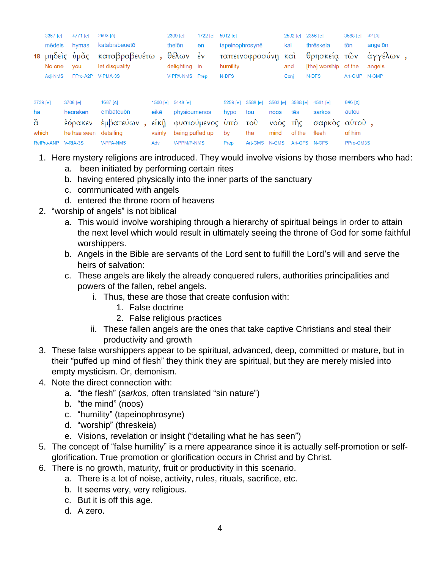|                 | 4771 [e]<br>3367 [e] |                              | 2603 [e] |                                  |  | 2309 [e]                            | 1722 [e]                  | $5012$ [e] |                                |                           | 2532 [e] | 2356 [e] | 3588 [e]                             | $32$ [e]  |                    |  |
|-----------------|----------------------|------------------------------|----------|----------------------------------|--|-------------------------------------|---------------------------|------------|--------------------------------|---------------------------|----------|----------|--------------------------------------|-----------|--------------------|--|
|                 | mēdeis               | hvmas                        |          | katabrabeuetō                    |  |                                     | thelōn                    | en         | tapeinophrosynē                |                           |          | kai      | thrēskeja                            | tōn       | angelon            |  |
|                 | No one               | 18 μηδείς ύμᾶς<br><b>VOU</b> |          | καταβραβευέτω,<br>let disqualify |  |                                     | θέλων έν<br>delighting in |            | ταπεινοφροσύνη και<br>humility |                           |          | and      | θρησκεία τῶν<br>[the] worship of the |           | άγγέλων,<br>angels |  |
|                 | Adj-NMS              | PPro-A2P                     |          | V-PMA-3S                         |  |                                     | V-PPA-NMS Prep            |            | N-DFS                          |                           |          | Conj     | N-DFS                                | Art-GMP   | N-GMP              |  |
|                 |                      |                              |          |                                  |  |                                     |                           |            |                                |                           |          |          |                                      |           |                    |  |
| 3739 [e]        |                      | 3708 [e]                     |          | 1687 [e]                         |  |                                     | 1500 [e] 5448 [e]         |            | $5259$ [e]                     | 3588 [e]                  | 3563 [e] | 3588 [e] | 4561 [e]                             | 846 [e]   |                    |  |
| ha              |                      | heoraken                     |          | embateuōn                        |  | eikē                                | physioumenos              |            | hypo                           | tou                       | noos     | tēs      | sarkos                               | autou     |                    |  |
| $\ddot{\alpha}$ |                      | ἑόρακεν                      |          | έμβατεύων,                       |  | $\epsilon$ ik $\tilde{\mathfrak y}$ | φυσιούμενος υπο           |            |                                | $\overline{\mathrm{TOU}}$ |          | νοὸς τῆς | σαρκὸς                               | αὐτοῦ,    |                    |  |
| which           |                      | he has seen                  |          | detailing                        |  | vainly                              | being puffed up           |            | by                             | the                       | mind     | of the   | flesh                                | of him    |                    |  |
|                 | RelPro-ANP           | V-RIA-3S                     |          | <b>V-PPA-NMS</b>                 |  | Adv                                 | V-PPM/P-NMS               |            | Prep                           | Art-GMS N-GMS             |          |          | Art-GFS N-GFS                        | PPro-GM3S |                    |  |

- 1. Here mystery religions are introduced. They would involve visions by those members who had:
	- a. been initiated by performing certain rites
	- b. having entered physically into the inner parts of the sanctuary
	- c. communicated with angels
	- d. entered the throne room of heavens
- 2. "worship of angels" is not biblical
	- a. This would involve worshiping through a hierarchy of spiritual beings in order to attain the next level which would result in ultimately seeing the throne of God for some faithful worshippers.
	- b. Angels in the Bible are servants of the Lord sent to fulfill the Lord's will and serve the heirs of salvation:
	- c. These angels are likely the already conquered rulers, authorities principalities and powers of the fallen, rebel angels.
		- i. Thus, these are those that create confusion with:
			- 1. False doctrine
			- 2. False religious practices
		- ii. These fallen angels are the ones that take captive Christians and steal their productivity and growth
- 3. These false worshippers appear to be spiritual, advanced, deep, committed or mature, but in their "puffed up mind of flesh" they think they are spiritual, but they are merely misled into empty mysticism. Or, demonism.
- 4. Note the direct connection with:
	- a. "the flesh" (*sarkos*, often translated "sin nature")
	- b. "the mind" (noos)
	- c. "humility" (tapeinophrosyne)
	- d. "worship" (threskeia)
	- e. Visions, revelation or insight ("detailing what he has seen")
- 5. The concept of "false humility" is a mere appearance since it is actually self-promotion or selfglorification. True promotion or glorification occurs in Christ and by Christ.
- 6. There is no growth, maturity, fruit or productivity in this scenario.
	- a. There is a lot of noise, activity, rules, rituals, sacrifice, etc.
	- b. It seems very, very religious.
	- c. But it is off this age.
	- d. A zero.